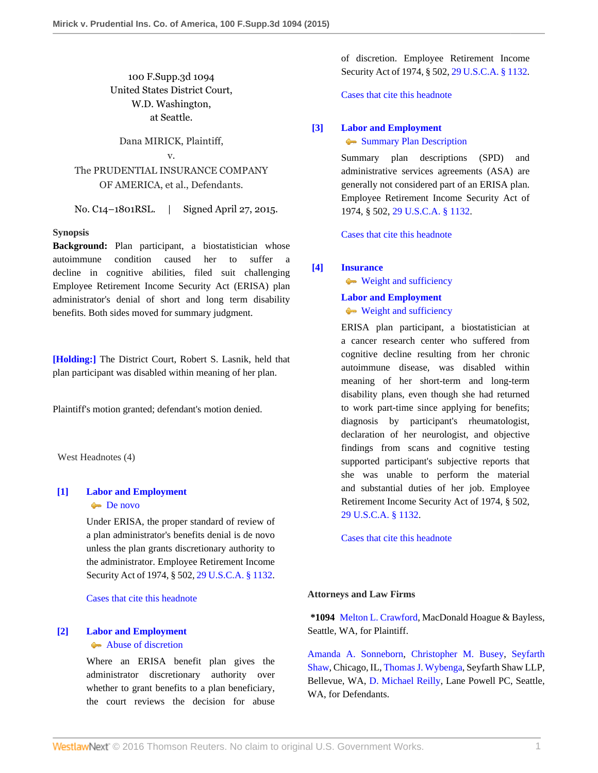# 100 F.Supp.3d 1094 United States District Court, W.D. Washington, at Seattle.

### Dana MIRICK, Plaintiff,

# v. The PRUDENTIAL INSURANCE COMPANY OF AMERICA, et al., Defendants.

No. C14–1801RSL. | Signed April 27, 2015.

### **Synopsis**

**Background:** Plan participant, a biostatistician whose autoimmune condition caused her to suffer a decline in cognitive abilities, filed suit challenging Employee Retirement Income Security Act (ERISA) plan administrator's denial of short and long term disability benefits. Both sides moved for summary judgment.

**[\[Holding:\]](#page-0-0)** The District Court, Robert S. Lasnik, held that plan participant was disabled within meaning of her plan.

Plaintiff's motion granted; defendant's motion denied.

West Headnotes (4)

# <span id="page-0-1"></span>**[\[1\]](#page-2-0) [Labor and Employment](http://www.westlaw.com/Browse/Home/KeyNumber/231H/View.html?docGuid=Iaeb2c16aee7d11e4a795ac035416da91&originationContext=document&vr=3.0&rs=cblt1.0&transitionType=DocumentItem&contextData=(sc.UserEnteredCitation))**

# [De novo](http://www.westlaw.com/Browse/Home/KeyNumber/231Hk686/View.html?docGuid=Iaeb2c16aee7d11e4a795ac035416da91&originationContext=document&vr=3.0&rs=cblt1.0&transitionType=DocumentItem&contextData=(sc.UserEnteredCitation))

Under ERISA, the proper standard of review of a plan administrator's benefits denial is de novo unless the plan grants discretionary authority to the administrator. Employee Retirement Income Security Act of 1974, § 502, [29 U.S.C.A. § 1132](http://www.westlaw.com/Link/Document/FullText?findType=L&pubNum=1000546&cite=29USCAS1132&originatingDoc=Iaeb2c16aee7d11e4a795ac035416da91&refType=LQ&originationContext=document&vr=3.0&rs=cblt1.0&transitionType=DocumentItem&contextData=(sc.UserEnteredCitation)).

[Cases that cite this headnote](http://www.westlaw.com/Link/RelatedInformation/DocHeadnoteLink?docGuid=Iaeb2c16aee7d11e4a795ac035416da91&headnoteId=203616798800120151207013754&originationContext=document&vr=3.0&rs=cblt1.0&transitionType=CitingReferences&contextData=(sc.UserEnteredCitation))

### <span id="page-0-2"></span>**[\[2\]](#page-2-1) [Labor and Employment](http://www.westlaw.com/Browse/Home/KeyNumber/231H/View.html?docGuid=Iaeb2c16aee7d11e4a795ac035416da91&originationContext=document&vr=3.0&rs=cblt1.0&transitionType=DocumentItem&contextData=(sc.UserEnteredCitation))** [Abuse of discretion](http://www.westlaw.com/Browse/Home/KeyNumber/231Hk688/View.html?docGuid=Iaeb2c16aee7d11e4a795ac035416da91&originationContext=document&vr=3.0&rs=cblt1.0&transitionType=DocumentItem&contextData=(sc.UserEnteredCitation))

Where an ERISA benefit plan gives the administrator discretionary authority over whether to grant benefits to a plan beneficiary, the court reviews the decision for abuse

of discretion. Employee Retirement Income Security Act of 1974, § 502, [29 U.S.C.A. § 1132](http://www.westlaw.com/Link/Document/FullText?findType=L&pubNum=1000546&cite=29USCAS1132&originatingDoc=Iaeb2c16aee7d11e4a795ac035416da91&refType=LQ&originationContext=document&vr=3.0&rs=cblt1.0&transitionType=DocumentItem&contextData=(sc.UserEnteredCitation)).

[Cases that cite this headnote](http://www.westlaw.com/Link/RelatedInformation/DocHeadnoteLink?docGuid=Iaeb2c16aee7d11e4a795ac035416da91&headnoteId=203616798800220151207013754&originationContext=document&vr=3.0&rs=cblt1.0&transitionType=CitingReferences&contextData=(sc.UserEnteredCitation))

### <span id="page-0-3"></span>**[\[3\]](#page-2-2) [Labor and Employment](http://www.westlaw.com/Browse/Home/KeyNumber/231H/View.html?docGuid=Iaeb2c16aee7d11e4a795ac035416da91&originationContext=document&vr=3.0&rs=cblt1.0&transitionType=DocumentItem&contextData=(sc.UserEnteredCitation))**

### [Summary Plan Description](http://www.westlaw.com/Browse/Home/KeyNumber/231Hk483/View.html?docGuid=Iaeb2c16aee7d11e4a795ac035416da91&originationContext=document&vr=3.0&rs=cblt1.0&transitionType=DocumentItem&contextData=(sc.UserEnteredCitation))

Summary plan descriptions (SPD) and administrative services agreements (ASA) are generally not considered part of an ERISA plan. Employee Retirement Income Security Act of 1974, § 502, [29 U.S.C.A. § 1132](http://www.westlaw.com/Link/Document/FullText?findType=L&pubNum=1000546&cite=29USCAS1132&originatingDoc=Iaeb2c16aee7d11e4a795ac035416da91&refType=LQ&originationContext=document&vr=3.0&rs=cblt1.0&transitionType=DocumentItem&contextData=(sc.UserEnteredCitation)).

[Cases that cite this headnote](http://www.westlaw.com/Link/RelatedInformation/DocHeadnoteLink?docGuid=Iaeb2c16aee7d11e4a795ac035416da91&headnoteId=203616798800320151207013754&originationContext=document&vr=3.0&rs=cblt1.0&transitionType=CitingReferences&contextData=(sc.UserEnteredCitation))

### <span id="page-0-0"></span>**[\[4\]](#page-2-3) [Insurance](http://www.westlaw.com/Browse/Home/KeyNumber/217/View.html?docGuid=Iaeb2c16aee7d11e4a795ac035416da91&originationContext=document&vr=3.0&rs=cblt1.0&transitionType=DocumentItem&contextData=(sc.UserEnteredCitation))**

[Weight and sufficiency](http://www.westlaw.com/Browse/Home/KeyNumber/217k2578/View.html?docGuid=Iaeb2c16aee7d11e4a795ac035416da91&originationContext=document&vr=3.0&rs=cblt1.0&transitionType=DocumentItem&contextData=(sc.UserEnteredCitation))

# **[Labor and Employment](http://www.westlaw.com/Browse/Home/KeyNumber/231H/View.html?docGuid=Iaeb2c16aee7d11e4a795ac035416da91&originationContext=document&vr=3.0&rs=cblt1.0&transitionType=DocumentItem&contextData=(sc.UserEnteredCitation))**

# **[Weight and sufficiency](http://www.westlaw.com/Browse/Home/KeyNumber/231Hk629(2)/View.html?docGuid=Iaeb2c16aee7d11e4a795ac035416da91&originationContext=document&vr=3.0&rs=cblt1.0&transitionType=DocumentItem&contextData=(sc.UserEnteredCitation))**

ERISA plan participant, a biostatistician at a cancer research center who suffered from cognitive decline resulting from her chronic autoimmune disease, was disabled within meaning of her short-term and long-term disability plans, even though she had returned to work part-time since applying for benefits; diagnosis by participant's rheumatologist, declaration of her neurologist, and objective findings from scans and cognitive testing supported participant's subjective reports that she was unable to perform the material and substantial duties of her job. Employee Retirement Income Security Act of 1974, § 502, [29 U.S.C.A. § 1132.](http://www.westlaw.com/Link/Document/FullText?findType=L&pubNum=1000546&cite=29USCAS1132&originatingDoc=Iaeb2c16aee7d11e4a795ac035416da91&refType=LQ&originationContext=document&vr=3.0&rs=cblt1.0&transitionType=DocumentItem&contextData=(sc.UserEnteredCitation))

[Cases that cite this headnote](http://www.westlaw.com/Link/RelatedInformation/DocHeadnoteLink?docGuid=Iaeb2c16aee7d11e4a795ac035416da91&headnoteId=203616798800420151207013754&originationContext=document&vr=3.0&rs=cblt1.0&transitionType=CitingReferences&contextData=(sc.UserEnteredCitation))

### **Attorneys and Law Firms**

**\*1094** [Melton L. Crawford,](http://www.westlaw.com/Link/Document/FullText?findType=h&pubNum=176284&cite=0168090501&originatingDoc=Iaeb2c16aee7d11e4a795ac035416da91&refType=RQ&originationContext=document&vr=3.0&rs=cblt1.0&transitionType=DocumentItem&contextData=(sc.UserEnteredCitation)) MacDonald Hoague & Bayless, Seattle, WA, for Plaintiff.

[Amanda A. Sonneborn](http://www.westlaw.com/Link/Document/FullText?findType=h&pubNum=176284&cite=0335296701&originatingDoc=Iaeb2c16aee7d11e4a795ac035416da91&refType=RQ&originationContext=document&vr=3.0&rs=cblt1.0&transitionType=DocumentItem&contextData=(sc.UserEnteredCitation)), [Christopher M. Busey](http://www.westlaw.com/Link/Document/FullText?findType=h&pubNum=176284&cite=0471522801&originatingDoc=Iaeb2c16aee7d11e4a795ac035416da91&refType=RQ&originationContext=document&vr=3.0&rs=cblt1.0&transitionType=DocumentItem&contextData=(sc.UserEnteredCitation)), [Seyfarth](http://www.westlaw.com/Link/Document/FullText?findType=h&pubNum=176284&cite=0280341101&originatingDoc=Iaeb2c16aee7d11e4a795ac035416da91&refType=RQ&originationContext=document&vr=3.0&rs=cblt1.0&transitionType=DocumentItem&contextData=(sc.UserEnteredCitation)) [Shaw](http://www.westlaw.com/Link/Document/FullText?findType=h&pubNum=176284&cite=0280341101&originatingDoc=Iaeb2c16aee7d11e4a795ac035416da91&refType=RQ&originationContext=document&vr=3.0&rs=cblt1.0&transitionType=DocumentItem&contextData=(sc.UserEnteredCitation)), Chicago, IL, [Thomas J. Wybenga,](http://www.westlaw.com/Link/Document/FullText?findType=h&pubNum=176284&cite=0329558501&originatingDoc=Iaeb2c16aee7d11e4a795ac035416da91&refType=RQ&originationContext=document&vr=3.0&rs=cblt1.0&transitionType=DocumentItem&contextData=(sc.UserEnteredCitation)) Seyfarth Shaw LLP, Bellevue, WA, [D. Michael Reilly](http://www.westlaw.com/Link/Document/FullText?findType=h&pubNum=176284&cite=0190733601&originatingDoc=Iaeb2c16aee7d11e4a795ac035416da91&refType=RQ&originationContext=document&vr=3.0&rs=cblt1.0&transitionType=DocumentItem&contextData=(sc.UserEnteredCitation)), Lane Powell PC, Seattle, WA, for Defendants.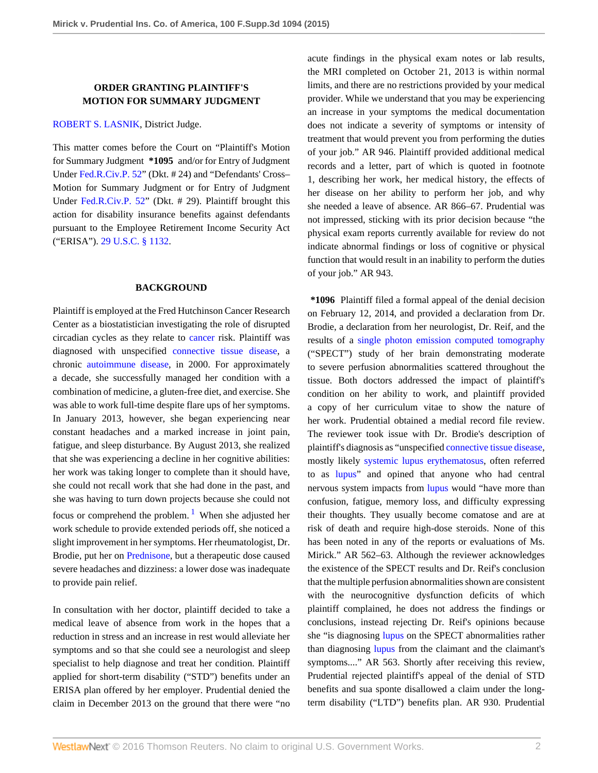# **ORDER GRANTING PLAINTIFF'S MOTION FOR SUMMARY JUDGMENT**

### [ROBERT S. LASNIK](http://www.westlaw.com/Link/Document/FullText?findType=h&pubNum=176284&cite=0170104401&originatingDoc=Iaeb2c16aee7d11e4a795ac035416da91&refType=RQ&originationContext=document&vr=3.0&rs=cblt1.0&transitionType=DocumentItem&contextData=(sc.UserEnteredCitation)), District Judge.

This matter comes before the Court on "Plaintiff's Motion for Summary Judgment **\*1095** and/or for Entry of Judgment Under [Fed.R.Civ.P. 52](http://www.westlaw.com/Link/Document/FullText?findType=L&pubNum=1000600&cite=USFRCPR52&originatingDoc=Iaeb2c16aee7d11e4a795ac035416da91&refType=LQ&originationContext=document&vr=3.0&rs=cblt1.0&transitionType=DocumentItem&contextData=(sc.UserEnteredCitation))" (Dkt. # 24) and "Defendants' Cross– Motion for Summary Judgment or for Entry of Judgment Under [Fed.R.Civ.P. 52"](http://www.westlaw.com/Link/Document/FullText?findType=L&pubNum=1000600&cite=USFRCPR52&originatingDoc=Iaeb2c16aee7d11e4a795ac035416da91&refType=LQ&originationContext=document&vr=3.0&rs=cblt1.0&transitionType=DocumentItem&contextData=(sc.UserEnteredCitation)) (Dkt. # 29). Plaintiff brought this action for disability insurance benefits against defendants pursuant to the Employee Retirement Income Security Act ("ERISA"). [29 U.S.C. § 1132.](http://www.westlaw.com/Link/Document/FullText?findType=L&pubNum=1000546&cite=29USCAS1132&originatingDoc=Iaeb2c16aee7d11e4a795ac035416da91&refType=LQ&originationContext=document&vr=3.0&rs=cblt1.0&transitionType=DocumentItem&contextData=(sc.UserEnteredCitation))

#### **BACKGROUND**

Plaintiff is employed at the Fred Hutchinson Cancer Research Center as a biostatistician investigating the role of disrupted circadian cycles as they relate to [cancer](http://www.westlaw.com/Link/Document/FullText?entityType=disease&entityId=Iaf34f5c3475411db9765f9243f53508a&originationContext=document&transitionType=DocumentItem&contextData=(sc.Default)&vr=3.0&rs=cblt1.0) risk. Plaintiff was diagnosed with unspecified [connective tissue disease,](http://www.westlaw.com/Link/Document/FullText?entityType=disease&entityId=Ib56c2568475411db9765f9243f53508a&originationContext=document&transitionType=DocumentItem&contextData=(sc.Default)&vr=3.0&rs=cblt1.0) a chronic [autoimmune disease,](http://www.westlaw.com/Link/Document/FullText?entityType=disease&entityId=Ic39e7bac475411db9765f9243f53508a&originationContext=document&transitionType=DocumentItem&contextData=(sc.Default)&vr=3.0&rs=cblt1.0) in 2000. For approximately a decade, she successfully managed her condition with a combination of medicine, a gluten-free diet, and exercise. She was able to work full-time despite flare ups of her symptoms. In January 2013, however, she began experiencing near constant headaches and a marked increase in joint pain, fatigue, and sleep disturbance. By August 2013, she realized that she was experiencing a decline in her cognitive abilities: her work was taking longer to complete than it should have, she could not recall work that she had done in the past, and she was having to turn down projects because she could not focus or comprehend the problem.<sup>[1](#page-3-0)</sup> When she adjusted her work schedule to provide extended periods off, she noticed a slight improvement in her symptoms. Her rheumatologist, Dr. Brodie, put her on [Prednisone](http://www.westlaw.com/Link/Document/FullText?entityType=gdrug&entityId=I3bd96ec6475111db9765f9243f53508a&originationContext=document&transitionType=DocumentItem&contextData=(sc.Default)&vr=3.0&rs=cblt1.0), but a therapeutic dose caused severe headaches and dizziness: a lower dose was inadequate to provide pain relief.

<span id="page-1-0"></span>In consultation with her doctor, plaintiff decided to take a medical leave of absence from work in the hopes that a reduction in stress and an increase in rest would alleviate her symptoms and so that she could see a neurologist and sleep specialist to help diagnose and treat her condition. Plaintiff applied for short-term disability ("STD") benefits under an ERISA plan offered by her employer. Prudential denied the claim in December 2013 on the ground that there were "no

acute findings in the physical exam notes or lab results, the MRI completed on October 21, 2013 is within normal limits, and there are no restrictions provided by your medical provider. While we understand that you may be experiencing an increase in your symptoms the medical documentation does not indicate a severity of symptoms or intensity of treatment that would prevent you from performing the duties of your job." AR 946. Plaintiff provided additional medical records and a letter, part of which is quoted in footnote 1, describing her work, her medical history, the effects of her disease on her ability to perform her job, and why she needed a leave of absence. AR 866–67. Prudential was not impressed, sticking with its prior decision because "the physical exam reports currently available for review do not indicate abnormal findings or loss of cognitive or physical function that would result in an inability to perform the duties of your job." AR 943.

**\*1096** Plaintiff filed a formal appeal of the denial decision on February 12, 2014, and provided a declaration from Dr. Brodie, a declaration from her neurologist, Dr. Reif, and the results of a [single photon emission computed tomography](http://www.westlaw.com/Link/Document/FullText?entityType=mproc&entityId=Iaa5df26e475411db9765f9243f53508a&originationContext=document&transitionType=DocumentItem&contextData=(sc.Default)&vr=3.0&rs=cblt1.0) ("SPECT") study of her brain demonstrating moderate to severe perfusion abnormalities scattered throughout the tissue. Both doctors addressed the impact of plaintiff's condition on her ability to work, and plaintiff provided a copy of her curriculum vitae to show the nature of her work. Prudential obtained a medial record file review. The reviewer took issue with Dr. Brodie's description of plaintiff's diagnosis as "unspecified [connective tissue disease,](http://www.westlaw.com/Link/Document/FullText?entityType=disease&entityId=Ib56c2568475411db9765f9243f53508a&originationContext=document&transitionType=DocumentItem&contextData=(sc.Default)&vr=3.0&rs=cblt1.0) mostly likely [systemic lupus erythematosus](http://www.westlaw.com/Link/Document/FullText?entityType=disease&entityId=Icac9cf5d475411db9765f9243f53508a&originationContext=document&transitionType=DocumentItem&contextData=(sc.Default)&vr=3.0&rs=cblt1.0), often referred to as [lupus](http://www.westlaw.com/Link/Document/FullText?entityType=disease&entityId=Ibdaf9f88475411db9765f9243f53508a&originationContext=document&transitionType=DocumentItem&contextData=(sc.Default)&vr=3.0&rs=cblt1.0)" and opined that anyone who had central nervous system impacts from [lupus](http://www.westlaw.com/Link/Document/FullText?entityType=disease&entityId=Ibdaf9f88475411db9765f9243f53508a&originationContext=document&transitionType=DocumentItem&contextData=(sc.Default)&vr=3.0&rs=cblt1.0) would "have more than confusion, fatigue, memory loss, and difficulty expressing their thoughts. They usually become comatose and are at risk of death and require high-dose steroids. None of this has been noted in any of the reports or evaluations of Ms. Mirick." AR 562–63. Although the reviewer acknowledges the existence of the SPECT results and Dr. Reif's conclusion that the multiple perfusion abnormalities shown are consistent with the neurocognitive dysfunction deficits of which plaintiff complained, he does not address the findings or conclusions, instead rejecting Dr. Reif's opinions because she "is diagnosing [lupus](http://www.westlaw.com/Link/Document/FullText?entityType=disease&entityId=Ibdaf9f88475411db9765f9243f53508a&originationContext=document&transitionType=DocumentItem&contextData=(sc.Default)&vr=3.0&rs=cblt1.0) on the SPECT abnormalities rather than diagnosing [lupus](http://www.westlaw.com/Link/Document/FullText?entityType=disease&entityId=Ibdaf9f88475411db9765f9243f53508a&originationContext=document&transitionType=DocumentItem&contextData=(sc.Default)&vr=3.0&rs=cblt1.0) from the claimant and the claimant's symptoms...." AR 563. Shortly after receiving this review, Prudential rejected plaintiff's appeal of the denial of STD benefits and sua sponte disallowed a claim under the longterm disability ("LTD") benefits plan. AR 930. Prudential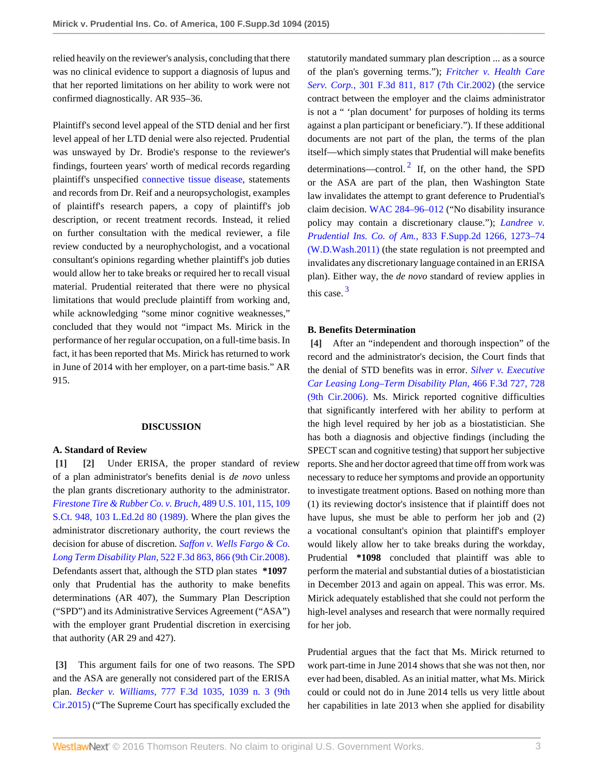relied heavily on the reviewer's analysis, concluding that there was no clinical evidence to support a diagnosis of lupus and that her reported limitations on her ability to work were not confirmed diagnostically. AR 935–36.

Plaintiff's second level appeal of the STD denial and her first level appeal of her LTD denial were also rejected. Prudential was unswayed by Dr. Brodie's response to the reviewer's findings, fourteen years' worth of medical records regarding plaintiff's unspecified [connective tissue disease](http://www.westlaw.com/Link/Document/FullText?entityType=disease&entityId=Ib56c2568475411db9765f9243f53508a&originationContext=document&transitionType=DocumentItem&contextData=(sc.Default)&vr=3.0&rs=cblt1.0), statements and records from Dr. Reif and a neuropsychologist, examples of plaintiff's research papers, a copy of plaintiff's job description, or recent treatment records. Instead, it relied on further consultation with the medical reviewer, a file review conducted by a neurophychologist, and a vocational consultant's opinions regarding whether plaintiff's job duties would allow her to take breaks or required her to recall visual material. Prudential reiterated that there were no physical limitations that would preclude plaintiff from working and, while acknowledging "some minor cognitive weaknesses," concluded that they would not "impact Ms. Mirick in the performance of her regular occupation, on a full-time basis. In fact, it has been reported that Ms. Mirick has returned to work in June of 2014 with her employer, on a part-time basis." AR 915.

#### <span id="page-2-1"></span>**DISCUSSION**

#### **A. Standard of Review**

<span id="page-2-0"></span>**[\[1\]](#page-0-1) [\[2\]](#page-0-2)** Under ERISA, the proper standard of review of a plan administrator's benefits denial is *de novo* unless the plan grants discretionary authority to the administrator. *[Firestone Tire & Rubber Co. v. Bruch,](http://www.westlaw.com/Link/Document/FullText?findType=Y&serNum=1989026578&pubNum=0000708&originatingDoc=Iaeb2c16aee7d11e4a795ac035416da91&refType=RP&originationContext=document&vr=3.0&rs=cblt1.0&transitionType=DocumentItem&contextData=(sc.UserEnteredCitation))* 489 U.S. 101, 115, 109 [S.Ct. 948, 103 L.Ed.2d 80 \(1989\)](http://www.westlaw.com/Link/Document/FullText?findType=Y&serNum=1989026578&pubNum=0000708&originatingDoc=Iaeb2c16aee7d11e4a795ac035416da91&refType=RP&originationContext=document&vr=3.0&rs=cblt1.0&transitionType=DocumentItem&contextData=(sc.UserEnteredCitation)). Where the plan gives the administrator discretionary authority, the court reviews the decision for abuse of discretion. *[Saffon v. Wells Fargo & Co.](http://www.westlaw.com/Link/Document/FullText?findType=Y&serNum=2015801487&pubNum=0000506&originatingDoc=Iaeb2c16aee7d11e4a795ac035416da91&refType=RP&fi=co_pp_sp_506_866&originationContext=document&vr=3.0&rs=cblt1.0&transitionType=DocumentItem&contextData=(sc.UserEnteredCitation)#co_pp_sp_506_866) Long Term Disability Plan,* [522 F.3d 863, 866 \(9th Cir.2008\).](http://www.westlaw.com/Link/Document/FullText?findType=Y&serNum=2015801487&pubNum=0000506&originatingDoc=Iaeb2c16aee7d11e4a795ac035416da91&refType=RP&fi=co_pp_sp_506_866&originationContext=document&vr=3.0&rs=cblt1.0&transitionType=DocumentItem&contextData=(sc.UserEnteredCitation)#co_pp_sp_506_866) Defendants assert that, although the STD plan states **\*1097** only that Prudential has the authority to make benefits determinations (AR 407), the Summary Plan Description ("SPD") and its Administrative Services Agreement ("ASA") with the employer grant Prudential discretion in exercising that authority (AR 29 and 427).

<span id="page-2-2"></span>**[\[3\]](#page-0-3)** This argument fails for one of two reasons. The SPD and the ASA are generally not considered part of the ERISA plan. *Becker v. Williams,* [777 F.3d 1035, 1039 n. 3 \(9th](http://www.westlaw.com/Link/Document/FullText?findType=Y&serNum=2035344248&pubNum=0000506&originatingDoc=Iaeb2c16aee7d11e4a795ac035416da91&refType=RP&fi=co_pp_sp_506_1039&originationContext=document&vr=3.0&rs=cblt1.0&transitionType=DocumentItem&contextData=(sc.UserEnteredCitation)#co_pp_sp_506_1039) [Cir.2015\)](http://www.westlaw.com/Link/Document/FullText?findType=Y&serNum=2035344248&pubNum=0000506&originatingDoc=Iaeb2c16aee7d11e4a795ac035416da91&refType=RP&fi=co_pp_sp_506_1039&originationContext=document&vr=3.0&rs=cblt1.0&transitionType=DocumentItem&contextData=(sc.UserEnteredCitation)#co_pp_sp_506_1039) ("The Supreme Court has specifically excluded the

<span id="page-2-4"></span>statutorily mandated summary plan description ... as a source of the plan's governing terms."); *[Fritcher v. Health Care](http://www.westlaw.com/Link/Document/FullText?findType=Y&serNum=2002541777&pubNum=0000506&originatingDoc=Iaeb2c16aee7d11e4a795ac035416da91&refType=RP&fi=co_pp_sp_506_817&originationContext=document&vr=3.0&rs=cblt1.0&transitionType=DocumentItem&contextData=(sc.UserEnteredCitation)#co_pp_sp_506_817) Serv. Corp.,* [301 F.3d 811, 817 \(7th Cir.2002\)](http://www.westlaw.com/Link/Document/FullText?findType=Y&serNum=2002541777&pubNum=0000506&originatingDoc=Iaeb2c16aee7d11e4a795ac035416da91&refType=RP&fi=co_pp_sp_506_817&originationContext=document&vr=3.0&rs=cblt1.0&transitionType=DocumentItem&contextData=(sc.UserEnteredCitation)#co_pp_sp_506_817) (the service contract between the employer and the claims administrator is not a " 'plan document' for purposes of holding its terms against a plan participant or beneficiary."). If these additional documents are not part of the plan, the terms of the plan itself—which simply states that Prudential will make benefits determinations—control.<sup>[2](#page-3-1)</sup> If, on the other hand, the SPD or the ASA are part of the plan, then Washington State law invalidates the attempt to grant deference to Prudential's claim decision. [WAC 284–96–012](http://www.westlaw.com/Link/Document/FullText?findType=L&pubNum=1003807&cite=WAADC284-96-012&originatingDoc=Iaeb2c16aee7d11e4a795ac035416da91&refType=LQ&originationContext=document&vr=3.0&rs=cblt1.0&transitionType=DocumentItem&contextData=(sc.UserEnteredCitation)) ("No disability insurance policy may contain a discretionary clause."); *[Landree v.](http://www.westlaw.com/Link/Document/FullText?findType=Y&serNum=2025510016&pubNum=0004637&originatingDoc=Iaeb2c16aee7d11e4a795ac035416da91&refType=RP&fi=co_pp_sp_4637_1273&originationContext=document&vr=3.0&rs=cblt1.0&transitionType=DocumentItem&contextData=(sc.UserEnteredCitation)#co_pp_sp_4637_1273) Prudential Ins. Co. of Am.,* [833 F.Supp.2d 1266, 1273–74](http://www.westlaw.com/Link/Document/FullText?findType=Y&serNum=2025510016&pubNum=0004637&originatingDoc=Iaeb2c16aee7d11e4a795ac035416da91&refType=RP&fi=co_pp_sp_4637_1273&originationContext=document&vr=3.0&rs=cblt1.0&transitionType=DocumentItem&contextData=(sc.UserEnteredCitation)#co_pp_sp_4637_1273) [\(W.D.Wash.2011\)](http://www.westlaw.com/Link/Document/FullText?findType=Y&serNum=2025510016&pubNum=0004637&originatingDoc=Iaeb2c16aee7d11e4a795ac035416da91&refType=RP&fi=co_pp_sp_4637_1273&originationContext=document&vr=3.0&rs=cblt1.0&transitionType=DocumentItem&contextData=(sc.UserEnteredCitation)#co_pp_sp_4637_1273) (the state regulation is not preempted and invalidates any discretionary language contained in an ERISA plan). Either way, the *de novo* standard of review applies in this case. [3](#page-4-0)

#### <span id="page-2-5"></span>**B. Benefits Determination**

<span id="page-2-3"></span>**[\[4\]](#page-0-0)** After an "independent and thorough inspection" of the record and the administrator's decision, the Court finds that the denial of STD benefits was in error. *[Silver v. Executive](http://www.westlaw.com/Link/Document/FullText?findType=Y&serNum=2010423310&pubNum=0000506&originatingDoc=Iaeb2c16aee7d11e4a795ac035416da91&refType=RP&fi=co_pp_sp_506_728&originationContext=document&vr=3.0&rs=cblt1.0&transitionType=DocumentItem&contextData=(sc.UserEnteredCitation)#co_pp_sp_506_728) [Car Leasing Long–Term Disability Plan,](http://www.westlaw.com/Link/Document/FullText?findType=Y&serNum=2010423310&pubNum=0000506&originatingDoc=Iaeb2c16aee7d11e4a795ac035416da91&refType=RP&fi=co_pp_sp_506_728&originationContext=document&vr=3.0&rs=cblt1.0&transitionType=DocumentItem&contextData=(sc.UserEnteredCitation)#co_pp_sp_506_728)* 466 F.3d 727, 728 [\(9th Cir.2006\).](http://www.westlaw.com/Link/Document/FullText?findType=Y&serNum=2010423310&pubNum=0000506&originatingDoc=Iaeb2c16aee7d11e4a795ac035416da91&refType=RP&fi=co_pp_sp_506_728&originationContext=document&vr=3.0&rs=cblt1.0&transitionType=DocumentItem&contextData=(sc.UserEnteredCitation)#co_pp_sp_506_728) Ms. Mirick reported cognitive difficulties that significantly interfered with her ability to perform at the high level required by her job as a biostatistician. She has both a diagnosis and objective findings (including the SPECT scan and cognitive testing) that support her subjective reports. She and her doctor agreed that time off from work was necessary to reduce her symptoms and provide an opportunity to investigate treatment options. Based on nothing more than (1) its reviewing doctor's insistence that if plaintiff does not have lupus, she must be able to perform her job and (2) a vocational consultant's opinion that plaintiff's employer would likely allow her to take breaks during the workday, Prudential **\*1098** concluded that plaintiff was able to perform the material and substantial duties of a biostatistician in December 2013 and again on appeal. This was error. Ms. Mirick adequately established that she could not perform the high-level analyses and research that were normally required for her job.

Prudential argues that the fact that Ms. Mirick returned to work part-time in June 2014 shows that she was not then, nor ever had been, disabled. As an initial matter, what Ms. Mirick could or could not do in June 2014 tells us very little about her capabilities in late 2013 when she applied for disability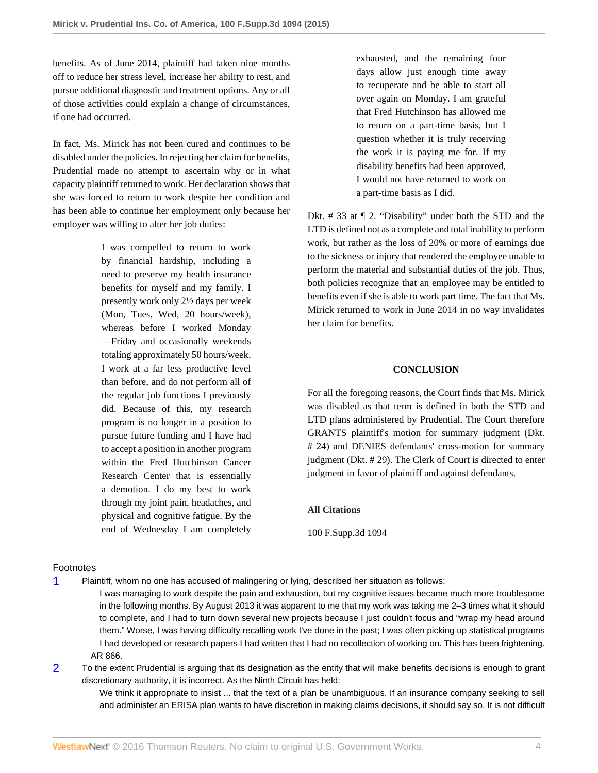benefits. As of June 2014, plaintiff had taken nine months off to reduce her stress level, increase her ability to rest, and pursue additional diagnostic and treatment options. Any or all of those activities could explain a change of circumstances, if one had occurred.

In fact, Ms. Mirick has not been cured and continues to be disabled under the policies. In rejecting her claim for benefits, Prudential made no attempt to ascertain why or in what capacity plaintiff returned to work. Her declaration shows that she was forced to return to work despite her condition and has been able to continue her employment only because her employer was willing to alter her job duties:

> I was compelled to return to work by financial hardship, including a need to preserve my health insurance benefits for myself and my family. I presently work only 2½ days per week (Mon, Tues, Wed, 20 hours/week), whereas before I worked Monday —Friday and occasionally weekends totaling approximately 50 hours/week. I work at a far less productive level than before, and do not perform all of the regular job functions I previously did. Because of this, my research program is no longer in a position to pursue future funding and I have had to accept a position in another program within the Fred Hutchinson Cancer Research Center that is essentially a demotion. I do my best to work through my joint pain, headaches, and physical and cognitive fatigue. By the end of Wednesday I am completely

Footnotes

<span id="page-3-0"></span>[1](#page-1-0) Plaintiff, whom no one has accused of malingering or lying, described her situation as follows:

I was managing to work despite the pain and exhaustion, but my cognitive issues became much more troublesome in the following months. By August 2013 it was apparent to me that my work was taking me 2–3 times what it should to complete, and I had to turn down several new projects because I just couldn't focus and "wrap my head around them." Worse, I was having difficulty recalling work I've done in the past; I was often picking up statistical programs I had developed or research papers I had written that I had no recollection of working on. This has been frightening. AR 866.

<span id="page-3-1"></span>[2](#page-2-4) To the extent Prudential is arguing that its designation as the entity that will make benefits decisions is enough to grant discretionary authority, it is incorrect. As the Ninth Circuit has held:

We think it appropriate to insist ... that the text of a plan be unambiguous. If an insurance company seeking to sell and administer an ERISA plan wants to have discretion in making claims decisions, it should say so. It is not difficult

exhausted, and the remaining four days allow just enough time away to recuperate and be able to start all over again on Monday. I am grateful that Fred Hutchinson has allowed me to return on a part-time basis, but I question whether it is truly receiving the work it is paying me for. If my disability benefits had been approved, I would not have returned to work on a part-time basis as I did.

Dkt. # 33 at ¶ 2. "Disability" under both the STD and the LTD is defined not as a complete and total inability to perform work, but rather as the loss of 20% or more of earnings due to the sickness or injury that rendered the employee unable to perform the material and substantial duties of the job. Thus, both policies recognize that an employee may be entitled to benefits even if she is able to work part time. The fact that Ms. Mirick returned to work in June 2014 in no way invalidates her claim for benefits.

### **CONCLUSION**

For all the foregoing reasons, the Court finds that Ms. Mirick was disabled as that term is defined in both the STD and LTD plans administered by Prudential. The Court therefore GRANTS plaintiff's motion for summary judgment (Dkt. # 24) and DENIES defendants' cross-motion for summary judgment (Dkt. # 29). The Clerk of Court is directed to enter judgment in favor of plaintiff and against defendants.

### **All Citations**

100 F.Supp.3d 1094